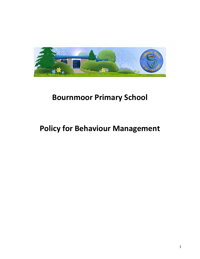

# **Bournmoor Primary School**

# **Policy for Behaviour Management**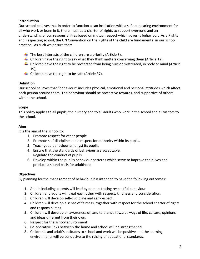# **Introduction**

Our school believes that in order to function as an institution with a safe and caring environment for all who work or learn in it, there must be a charter of rights to support everyone and an understanding of our responsibilities based on mutual respect which governs behaviour. As a Rights and Respecting school, the UN Convention on the Rights of the child are fundamental in our school practice. As such we ensure that:

- $\downarrow$  The best interests of the children are a priority (Article 3),
- $\downarrow$  Children have the right to say what they think matters concerning them (Article 12),
- $\ddot$  Children have the right to be protected from being hurt or mistreated, in body or mind (Article 19),
- $\downarrow$  Children have the right to be safe (Article 37).

## **Definition**

Our school believes that "behaviour" includes physical, emotional and personal attitudes which affect each person around them. The behaviour should be protective towards, and supportive of others within the school.

# **Scope**

This policy applies to all pupils, the nursery and to all adults who work in the school and all visitors to the school.

## **Aims**

It is the aim of the school to:

- 1. Promote respect for other people
- 2. Promote self-discipline and a respect for authority within its pupils.
- 3. Teach good behaviour amongst its pupils.
- 4. Ensure that the standards of behaviour are acceptable.
- 5. Regulate the conduct of pupils
- 6. Develop within the pupil's behaviour patterns which serve to improve their lives and produce a sound basis for adulthood.

# **Objectives**

By planning for the management of behaviour it is intended to have the following outcomes:

- 1. Adults including parents will lead by demonstrating respectful behaviour
- 2. Children and adults will treat each other with respect, kindness and consideration.
- 3. Children will develop self-discipline and self-respect.
- 4. Children will develop a sense of fairness, together with respect for the school charter of rights and responsibilities.
- 5. Children will develop an awareness of, and tolerance towards ways of life, culture, opinions and ideas different from their own.
- 6. Respect for the school environment.
- 7. Co-operative links between the home and school will be strengthened.
- 8. Children's and adult's attitudes to school and work will be positive and the learning environments will be conducive to the raising of educational standards.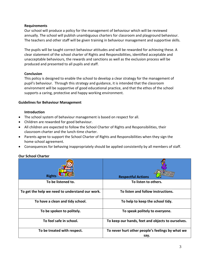## **Requirements**

Our school will produce a policy for the management of behaviour which will be reviewed annually. The school will publish unambiguous charters for classroom and playground behaviour. The teachers and other staff will be given training in behaviour management and supportive skills.

The pupils will be taught correct behaviour attitudes and will be rewarded for achieving these. A clear statement of the school charter of Rights and Responsibilities, identified acceptable and unacceptable behaviours, the rewards and sanctions as well as the exclusion process will be produced and presented to all pupils and staff.

## **Conclusion**

This policy is designed to enable the school to develop a clear strategy for the management of pupil's behaviour. Through this strategy and guidance, it is intended that the classroom environment will be supportive of good educational practice, and that the ethos of the school supports a caring, protective and happy working environment.

## **Guidelines for Behaviour Management**

## **Introduction**

- The school system of behaviour management is based on respect for all.
- Children are rewarded for good behaviour.
- All children are expected to follow the School Charter of Rights and Responsibilities, their classroom charter and the lunch-time charter.
- Parents agree to support the School Charter of Rights and Responsibilities when they sign the home school agreement.
- Consequences for behaving inappropriately should be applied consistently by all members of staff.

# **Our School Charter**

| <b>Rights</b>                                   | <b>Respectful Actions</b>                                |
|-------------------------------------------------|----------------------------------------------------------|
| To be listened to.                              | To listen to others.                                     |
| To get the help we need to understand our work. | To listen and follow instructions.                       |
| To have a clean and tidy school.                | To help to keep the school tidy.                         |
| To be spoken to politely.                       | To speak politely to everyone.                           |
| To feel safe in school.                         | To keep our hands, feet and objects to ourselves.        |
| To be treated with respect.                     | To never hurt other people's feelings by what we<br>say. |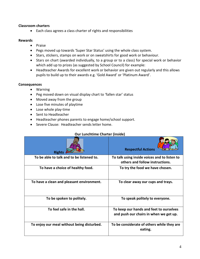#### **Classroom charters**

• Each class agrees a class charter of rights and responsibilities

#### **Rewards**

- Praise
- Pegs moved up towards 'Super Star Status' using the whole class system.
- Stars, stickers, stamps on work or on sweatshirts for good work or behaviour.
- Stars on chart (awarded individually, to a group or to a class) for special work or behavior which add up to prizes (as suggested by School Council) for example:
- Headteacher Awards for excellent work or behavior are given out regularly and this allows pupils to build up to their awards e.g. 'Gold Award' or 'Platinum Award'.

#### **Consequences**

- Warning
- Peg moved down on visual display chart to 'fallen star' status
- Moved away from the group
- Lose five minutes of playtime
- Lose whole play-time
- Sent to Headteacher
- Headteacher phones parents to engage home/school support.
- Severe Clause: Headteacher sends letter home.

#### **Our Lunchtime Charter (inside)**

| <b>Rights</b>                              | <b>Respectful Actions</b>                                                         |
|--------------------------------------------|-----------------------------------------------------------------------------------|
| To be able to talk and to be listened to.  | To talk using inside voices and to listen to<br>others and follow instructions.   |
| To have a choice of healthy food.          | To try the food we have chosen.                                                   |
| To have a clean and pleasant environment.  | To clear away our cups and trays.                                                 |
| To be spoken to politely.                  | To speak politely to everyone.                                                    |
| To feel safe in the hall.                  | To keep our hands and feet to ourselves<br>and push our chairs in when we get up. |
| To enjoy our meal without being disturbed. | To be considerate of others while they are<br>eating.                             |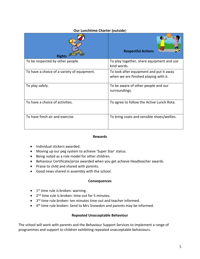## **Our Lunchtime Charter (outside**)

| <b>Rights</b>                               | <b>Respectful Actions</b>                                                        |
|---------------------------------------------|----------------------------------------------------------------------------------|
| To be respected by other people.            | To play together, share equipment and use<br>kind words.                         |
| To have a choice of a variety of equipment. | To look after equipment and put it away<br>when we are finished playing with it. |
| To play safely.                             | To be aware of other people and our<br>surroundings.                             |
| To have a choice of activities.             | To agree to follow the Active Lunch Rota.                                        |
| To have fresh air and exercise.             | To bring coats and sensible shoes/wellies.                                       |

#### **Rewards**

- Individual stickers awarded.
- Moving up our peg system to achieve 'Super Star' status.
- Being noted as a role model for other children.
- Behaviour Certificate/prize awarded when you get achieve Headteacher awards.
- Praise to child and shared with parents.
- Good news shared in assembly with the school.

#### **Consequences**

- $\bullet$  1<sup>st</sup> time rule is broken: warning.
- 2<sup>nd</sup> time rule is broken: time out for 5 minutes.
- 3<sup>rd</sup> time rule broken: ten minutes time out and teacher informed.
- 4<sup>th</sup> time rule broken: Send to Mrs Snowdon and parents may be informed.

## **Repeated Unacceptable Behaviour**

The school will work with parents and the Behaviour Support Services to implement a range of programmes and support to children exhibiting repeated unacceptable behaviours.